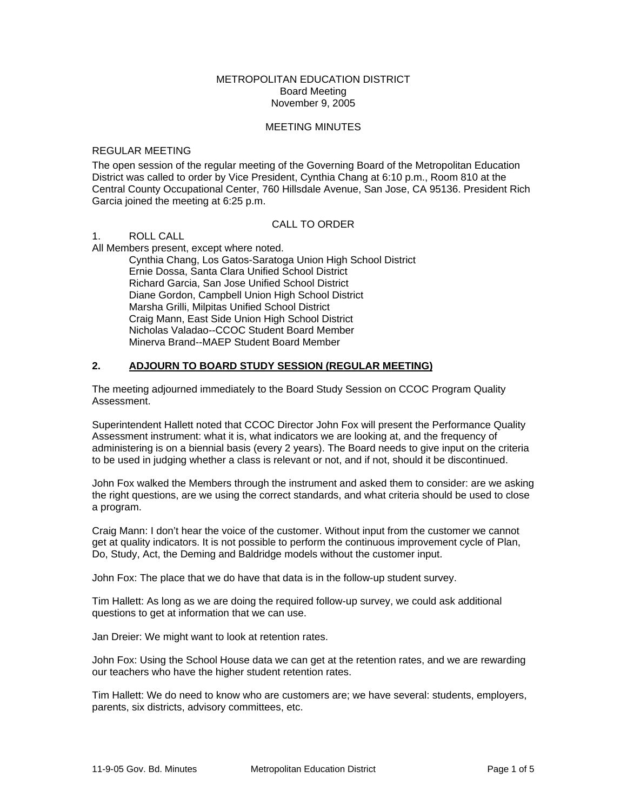## METROPOLITAN EDUCATION DISTRICT Board Meeting November 9, 2005

### MEETING MINUTES

#### REGULAR MEETING

The open session of the regular meeting of the Governing Board of the Metropolitan Education District was called to order by Vice President, Cynthia Chang at 6:10 p.m., Room 810 at the Central County Occupational Center, 760 Hillsdale Avenue, San Jose, CA 95136. President Rich Garcia joined the meeting at 6:25 p.m.

# CALL TO ORDER

1. ROLL CALL

All Members present, except where noted. Cynthia Chang, Los Gatos-Saratoga Union High School District

Ernie Dossa, Santa Clara Unified School District Richard Garcia, San Jose Unified School District Diane Gordon, Campbell Union High School District Marsha Grilli, Milpitas Unified School District Craig Mann, East Side Union High School District Nicholas Valadao--CCOC Student Board Member Minerva Brand--MAEP Student Board Member

# **2. ADJOURN TO BOARD STUDY SESSION (REGULAR MEETING)**

The meeting adjourned immediately to the Board Study Session on CCOC Program Quality Assessment.

Superintendent Hallett noted that CCOC Director John Fox will present the Performance Quality Assessment instrument: what it is, what indicators we are looking at, and the frequency of administering is on a biennial basis (every 2 years). The Board needs to give input on the criteria to be used in judging whether a class is relevant or not, and if not, should it be discontinued.

John Fox walked the Members through the instrument and asked them to consider: are we asking the right questions, are we using the correct standards, and what criteria should be used to close a program.

Craig Mann: I don't hear the voice of the customer. Without input from the customer we cannot get at quality indicators. It is not possible to perform the continuous improvement cycle of Plan, Do, Study, Act, the Deming and Baldridge models without the customer input.

John Fox: The place that we do have that data is in the follow-up student survey.

Tim Hallett: As long as we are doing the required follow-up survey, we could ask additional questions to get at information that we can use.

Jan Dreier: We might want to look at retention rates.

John Fox: Using the School House data we can get at the retention rates, and we are rewarding our teachers who have the higher student retention rates.

Tim Hallett: We do need to know who are customers are; we have several: students, employers, parents, six districts, advisory committees, etc.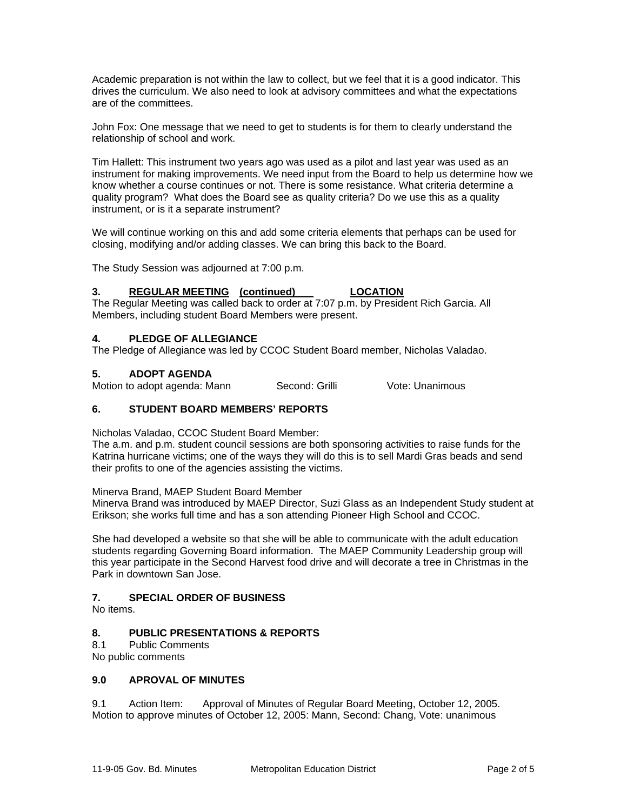Academic preparation is not within the law to collect, but we feel that it is a good indicator. This drives the curriculum. We also need to look at advisory committees and what the expectations are of the committees.

John Fox: One message that we need to get to students is for them to clearly understand the relationship of school and work.

Tim Hallett: This instrument two years ago was used as a pilot and last year was used as an instrument for making improvements. We need input from the Board to help us determine how we know whether a course continues or not. There is some resistance. What criteria determine a quality program? What does the Board see as quality criteria? Do we use this as a quality instrument, or is it a separate instrument?

We will continue working on this and add some criteria elements that perhaps can be used for closing, modifying and/or adding classes. We can bring this back to the Board.

The Study Session was adjourned at 7:00 p.m.

## **3. REGULAR MEETING (continued) LOCATION**

The Regular Meeting was called back to order at 7:07 p.m. by President Rich Garcia. All Members, including student Board Members were present.

# **4. PLEDGE OF ALLEGIANCE**

The Pledge of Allegiance was led by CCOC Student Board member, Nicholas Valadao.

## **5. ADOPT AGENDA**

Motion to adopt agenda: Mann Second: Grilli Vote: Unanimous

# **6. STUDENT BOARD MEMBERS' REPORTS**

Nicholas Valadao, CCOC Student Board Member:

The a.m. and p.m. student council sessions are both sponsoring activities to raise funds for the Katrina hurricane victims; one of the ways they will do this is to sell Mardi Gras beads and send their profits to one of the agencies assisting the victims.

Minerva Brand, MAEP Student Board Member

Minerva Brand was introduced by MAEP Director, Suzi Glass as an Independent Study student at Erikson; she works full time and has a son attending Pioneer High School and CCOC.

She had developed a website so that she will be able to communicate with the adult education students regarding Governing Board information. The MAEP Community Leadership group will this year participate in the Second Harvest food drive and will decorate a tree in Christmas in the Park in downtown San Jose.

# **7. SPECIAL ORDER OF BUSINESS**

No items.

# **8. PUBLIC PRESENTATIONS & REPORTS**

8.1 Public Comments

No public comments

## **9.0 APROVAL OF MINUTES**

9.1 Action Item: Approval of Minutes of Regular Board Meeting, October 12, 2005. Motion to approve minutes of October 12, 2005: Mann, Second: Chang, Vote: unanimous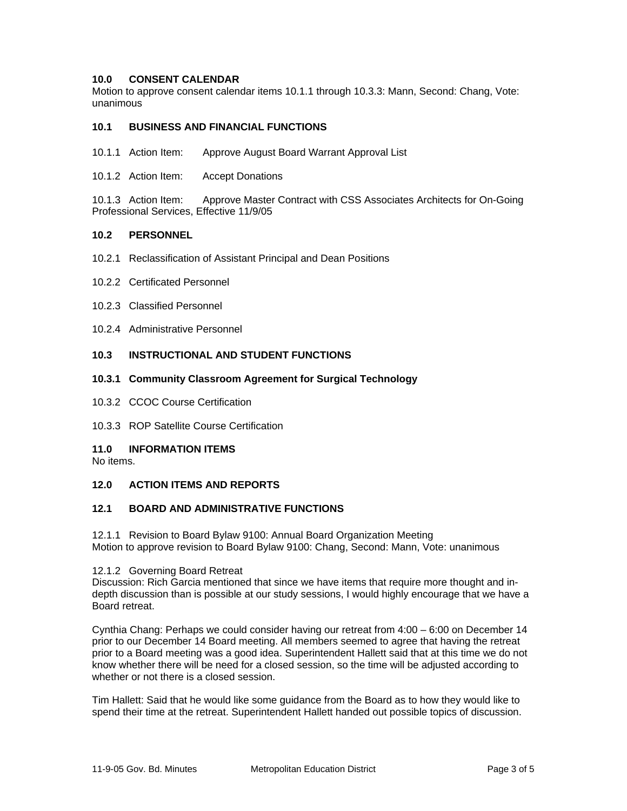## **10.0 CONSENT CALENDAR**

Motion to approve consent calendar items 10.1.1 through 10.3.3: Mann, Second: Chang, Vote: unanimous

## **10.1 BUSINESS AND FINANCIAL FUNCTIONS**

- 10.1.1 Action Item: Approve August Board Warrant Approval List
- 10.1.2 Action Item: Accept Donations

10.1.3 Action Item: Approve Master Contract with CSS Associates Architects for On-Going Professional Services, Effective 11/9/05

#### **10.2 PERSONNEL**

- 10.2.1 Reclassification of Assistant Principal and Dean Positions
- 10.2.2 Certificated Personnel
- 10.2.3 Classified Personnel
- 10.2.4 Administrative Personnel

## **10.3 INSTRUCTIONAL AND STUDENT FUNCTIONS**

#### **10.3.1 Community Classroom Agreement for Surgical Technology**

- 10.3.2 CCOC Course Certification
- 10.3.3 ROP Satellite Course Certification

## **11.0 INFORMATION ITEMS**

No items.

# **12.0 ACTION ITEMS AND REPORTS**

## **12.1 BOARD AND ADMINISTRATIVE FUNCTIONS**

12.1.1 Revision to Board Bylaw 9100: Annual Board Organization Meeting Motion to approve revision to Board Bylaw 9100: Chang, Second: Mann, Vote: unanimous

#### 12.1.2 Governing Board Retreat

Discussion: Rich Garcia mentioned that since we have items that require more thought and indepth discussion than is possible at our study sessions, I would highly encourage that we have a Board retreat.

Cynthia Chang: Perhaps we could consider having our retreat from 4:00 – 6:00 on December 14 prior to our December 14 Board meeting. All members seemed to agree that having the retreat prior to a Board meeting was a good idea. Superintendent Hallett said that at this time we do not know whether there will be need for a closed session, so the time will be adjusted according to whether or not there is a closed session.

Tim Hallett: Said that he would like some guidance from the Board as to how they would like to spend their time at the retreat. Superintendent Hallett handed out possible topics of discussion.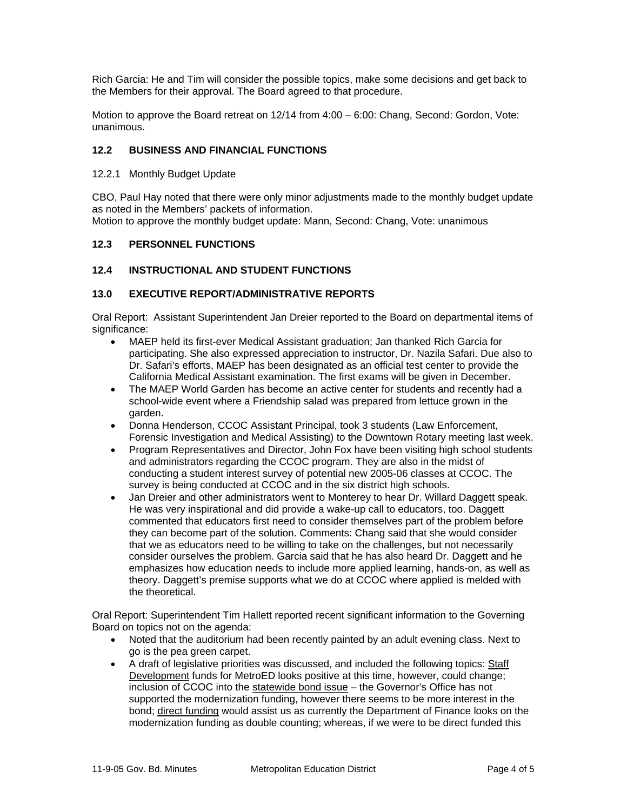Rich Garcia: He and Tim will consider the possible topics, make some decisions and get back to the Members for their approval. The Board agreed to that procedure.

Motion to approve the Board retreat on 12/14 from 4:00 – 6:00: Chang, Second: Gordon, Vote: unanimous.

# **12.2 BUSINESS AND FINANCIAL FUNCTIONS**

12.2.1 Monthly Budget Update

CBO, Paul Hay noted that there were only minor adjustments made to the monthly budget update as noted in the Members' packets of information. Motion to approve the monthly budget update: Mann, Second: Chang, Vote: unanimous

# **12.3 PERSONNEL FUNCTIONS**

# **12.4 INSTRUCTIONAL AND STUDENT FUNCTIONS**

# **13.0 EXECUTIVE REPORT/ADMINISTRATIVE REPORTS**

Oral Report: Assistant Superintendent Jan Dreier reported to the Board on departmental items of significance:

- MAEP held its first-ever Medical Assistant graduation; Jan thanked Rich Garcia for participating. She also expressed appreciation to instructor, Dr. Nazila Safari. Due also to Dr. Safari's efforts, MAEP has been designated as an official test center to provide the California Medical Assistant examination. The first exams will be given in December.
- The MAEP World Garden has become an active center for students and recently had a school-wide event where a Friendship salad was prepared from lettuce grown in the garden.
- Donna Henderson, CCOC Assistant Principal, took 3 students (Law Enforcement, Forensic Investigation and Medical Assisting) to the Downtown Rotary meeting last week.
- Program Representatives and Director, John Fox have been visiting high school students and administrators regarding the CCOC program. They are also in the midst of conducting a student interest survey of potential new 2005-06 classes at CCOC. The survey is being conducted at CCOC and in the six district high schools.
- Jan Dreier and other administrators went to Monterey to hear Dr. Willard Daggett speak. He was very inspirational and did provide a wake-up call to educators, too. Daggett commented that educators first need to consider themselves part of the problem before they can become part of the solution. Comments: Chang said that she would consider that we as educators need to be willing to take on the challenges, but not necessarily consider ourselves the problem. Garcia said that he has also heard Dr. Daggett and he emphasizes how education needs to include more applied learning, hands-on, as well as theory. Daggett's premise supports what we do at CCOC where applied is melded with the theoretical.

Oral Report: Superintendent Tim Hallett reported recent significant information to the Governing Board on topics not on the agenda:

- Noted that the auditorium had been recently painted by an adult evening class. Next to go is the pea green carpet.
- A draft of legislative priorities was discussed, and included the following topics: Staff Development funds for MetroED looks positive at this time, however, could change; inclusion of CCOC into the statewide bond issue - the Governor's Office has not supported the modernization funding, however there seems to be more interest in the bond; direct funding would assist us as currently the Department of Finance looks on the modernization funding as double counting; whereas, if we were to be direct funded this